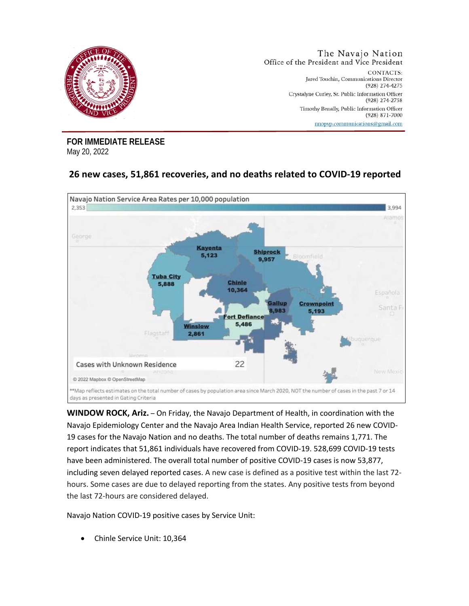

**FOR IMMEDIATE RELEASE**  May 20, 2022

## **26 new cases, 51,861 recoveries, and no deaths related to COVID-19 reported**



**WINDOW ROCK, Ariz.** – On Friday, the Navajo Department of Health, in coordination with the Navajo Epidemiology Center and the Navajo Area Indian Health Service, reported 26 new COVID-19 cases for the Navajo Nation and no deaths. The total number of deaths remains 1,771. The report indicates that 51,861 individuals have recovered from COVID-19. 528,699 COVID-19 tests have been administered. The overall total number of positive COVID-19 cases is now 53,877, including seven delayed reported cases. A new case is defined as a positive test within the last 72 hours. Some cases are due to delayed reporting from the states. Any positive tests from beyond the last 72-hours are considered delayed.

Navajo Nation COVID-19 positive cases by Service Unit:

• Chinle Service Unit: 10,364